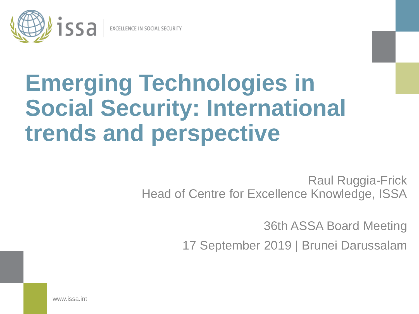

# **Emerging Technologies in Social Security: International trends and perspective**

Raul Ruggia-Frick Head of Centre for Excellence Knowledge, ISSA

36th ASSA Board Meeting

17 September 2019 | Brunei Darussalam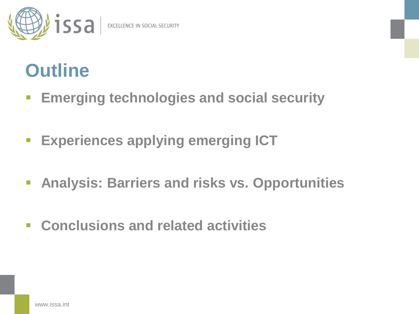

### **Outline**

- **Emerging technologies and social security**
- **Experiences applying emerging ICT**
- **Analysis: Barriers and risks vs. Opportunities**
- **Conclusions and related activities**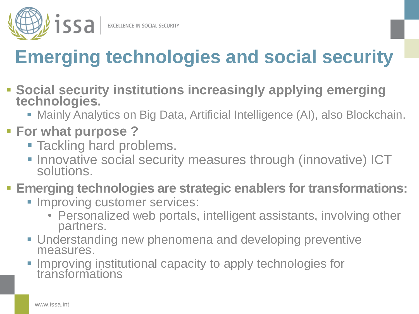

### **Emerging technologies and social security**

- **Social security institutions increasingly applying emerging technologies.**
	- Mainly Analytics on Big Data, Artificial Intelligence (AI), also Blockchain.

#### **For what purpose ?**

- **Tackling hard problems.**
- **Innovative social security measures through (innovative) ICT** solutions.

#### **Emerging technologies are strategic enablers for transformations:**

- **Improving customer services:** 
	- Personalized web portals, intelligent assistants, involving other partners.
- Understanding new phenomena and developing preventive measures.
- Improving institutional capacity to apply technologies for transformations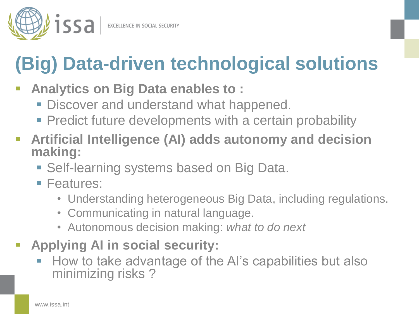

# **(Big) Data-driven technological solutions**

- **Analytics on Big Data enables to :**
	- **Discover and understand what happened.**
	- **Predict future developments with a certain probability**
- **Artificial Intelligence (AI) adds autonomy and decision making:**
	- Self-learning systems based on Big Data.
	- **Features:** 
		- Understanding heterogeneous Big Data, including regulations.
		- Communicating in natural language.
		- Autonomous decision making: *what to do next*
- **Applying AI in social security:**
	- How to take advantage of the AI's capabilities but also minimizing risks ?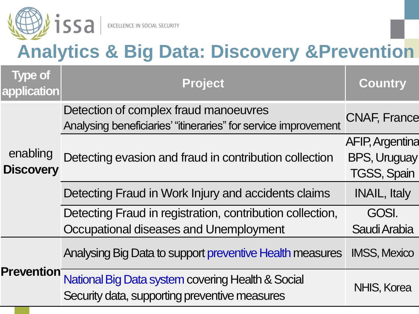

### **Analytics & Big Data: Discovery &Prevention**

| <b>Type of</b><br>application | <b>Project</b>                                                                                          | <b>Country</b>                                                      |
|-------------------------------|---------------------------------------------------------------------------------------------------------|---------------------------------------------------------------------|
| enabling<br><b>Discovery</b>  | Detection of complex fraud manoeuvres<br>Analysing beneficiaries' "itineraries" for service improvement | <b>CNAF, France</b>                                                 |
|                               | Detecting evasion and fraud in contribution collection                                                  | <b>AFIP, Argentina</b><br><b>BPS, Uruguay</b><br><b>TGSS, Spain</b> |
|                               | Detecting Fraud in Work Injury and accidents claims                                                     | <b>INAIL, Italy</b>                                                 |
|                               | Detecting Fraud in registration, contribution collection,<br>Occupational diseases and Unemployment     | GOSI.<br>Saudi Arabia                                               |
| <b>Prevention</b>             | Analysing Big Data to support preventive Health measures                                                | <b>IMSS, Mexico</b>                                                 |
|                               | National Big Data system covering Health & Social<br>Security data, supporting preventive measures      | NHIS, Korea                                                         |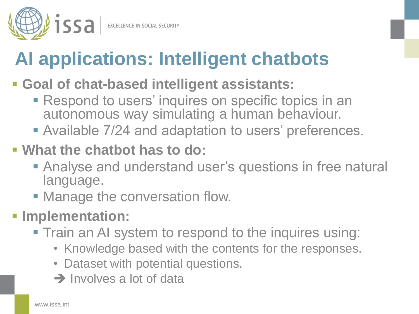

# **AI applications: Intelligent chatbots**

- **Goal of chat-based intelligent assistants:**
	- **Respond to users' inquires on specific topics in an** autonomous way simulating a human behaviour.
	- Available 7/24 and adaptation to users' preferences.
- **What the chatbot has to do:**
	- Analyse and understand user's questions in free natural language.
	- Manage the conversation flow.
- **Implementation:**
	- Train an AI system to respond to the inquires using:
		- Knowledge based with the contents for the responses.
		- Dataset with potential questions.
		- $\rightarrow$  Involves a lot of data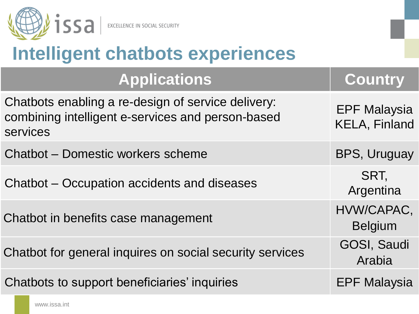

### **Intelligent chatbots experiences**

| <b>Applications</b>                                                                                                 | <b>Country</b>                              |
|---------------------------------------------------------------------------------------------------------------------|---------------------------------------------|
| Chatbots enabling a re-design of service delivery:<br>combining intelligent e-services and person-based<br>services | <b>EPF Malaysia</b><br><b>KELA, Finland</b> |
| Chatbot - Domestic workers scheme                                                                                   | BPS, Uruguay                                |
| Chatbot – Occupation accidents and diseases                                                                         | SRT.<br>Argentina                           |
| Chatbot in benefits case management                                                                                 | HVW/CAPAC,<br><b>Belgium</b>                |
| Chatbot for general inquires on social security services                                                            | <b>GOSI, Saudi</b><br>Arabia                |
| Chatbots to support beneficiaries' inquiries                                                                        | <b>EPF Malaysia</b>                         |

www.issa.int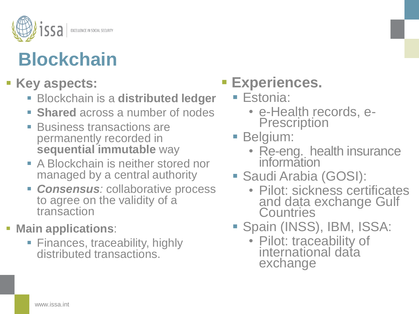

# **Blockchain**

#### **Key aspects:**

- Blockchain is a **distributed ledger**
- **Shared** across a number of nodes
- **Business transactions are** permanently recorded in **sequential immutable** way
- **A Blockchain is neither stored nor** managed by a central authority
- *Consensus:* collaborative process to agree on the validity of a transaction

#### **Main applications**:

• Finances, traceability, highly distributed transactions.

### **Experiences.**

- Estonia:
	- e-Health records, e-**Prescription**
- Belgium:
	- Re-eng. health insurance information
- Saudi Arabia (GOSI):
	- Pilot: sickness certificates and data exchange Gulf **Countries**
- **Spain (INSS), IBM, ISSA:** 
	- Pilot: traceability of international data exchange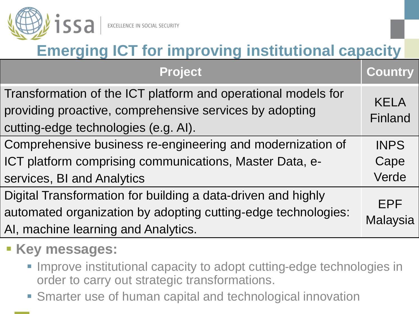

### **Emerging ICT for improving institutional capacity**

| <b>Project</b>                                                                                                                                                       | <b>Country</b>         |
|----------------------------------------------------------------------------------------------------------------------------------------------------------------------|------------------------|
| Transformation of the ICT platform and operational models for<br>providing proactive, comprehensive services by adopting<br>cutting-edge technologies (e.g. AI).     | <b>KELA</b><br>Finland |
| Comprehensive business re-engineering and modernization of                                                                                                           | <b>INPS</b>            |
| ICT platform comprising communications, Master Data, e-                                                                                                              | Cape                   |
| services, BI and Analytics                                                                                                                                           | Verde                  |
| Digital Transformation for building a data-driven and highly<br>automated organization by adopting cutting-edge technologies:<br>AI, machine learning and Analytics. | <b>EPF</b><br>Malaysia |

### **Key messages:**

- **Improve institutional capacity to adopt cutting-edge technologies in** order to carry out strategic transformations.
- Smarter use of human capital and technological innovation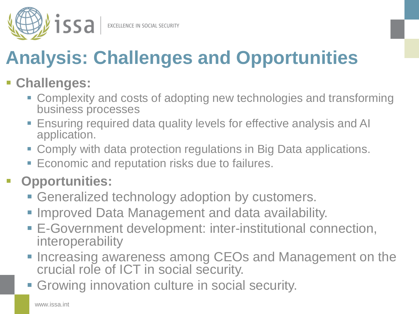

# **Analysis: Challenges and Opportunities**

#### **Challenges:**

- Complexity and costs of adopting new technologies and transforming business processes
- Ensuring required data quality levels for effective analysis and AI application.
- Comply with data protection regulations in Big Data applications.
- **Economic and reputation risks due to failures.**

#### **Opportunities:**

- **Generalized technology adoption by customers.**
- **Improved Data Management and data availability.**
- E-Government development: inter-institutional connection, interoperability
- **Increasing awareness among CEOs and Management on the** crucial role of ICT in social security.
- **Growing innovation culture in social security.**

www.issa.int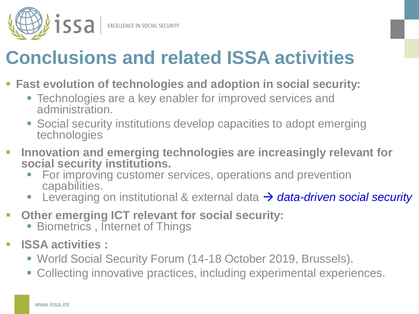

### **Conclusions and related ISSA activities**

- **Fast evolution of technologies and adoption in social security:**
	- Technologies are a key enabler for improved services and administration.
	- Social security institutions develop capacities to adopt emerging technologies
- **Innovation and emerging technologies are increasingly relevant for social security institutions.**
	- For improving customer services, operations and prevention capabilities.
	- Leveraging on institutional & external data → data-driven social security
- **Other emerging ICT relevant for social security:**
	- **Biometrics, Internet of Things**
- **ISSA activities :**
	- World Social Security Forum (14-18 October 2019, Brussels).
	- Collecting innovative practices, including experimental experiences.